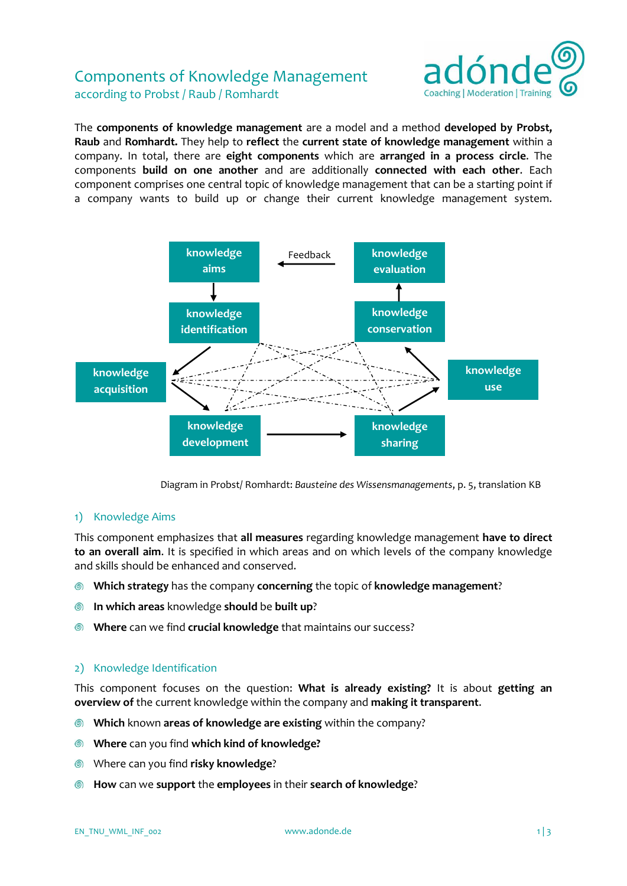# Components of Knowledge Management according to Probst / Raub / Romhardt



The **components of knowledge management** are a model and a method **developed by Probst, Raub** and **Romhardt.** They help to **reflect** the **current state of knowledge management** within a company. In total, there are **eight components** which are **arranged in a process circle**. The components **build on one another** and are additionally **connected with each other**. Each component comprises one central topic of knowledge management that can be a starting point if a company wants to build up or change their current knowledge management system.



Diagram in Probst/ Romhardt: *Bausteine des Wissensmanagements*, p. 5, translation KB

#### 1) Knowledge Aims

This component emphasizes that **all measures** regarding knowledge management **have to direct to an overall aim**. It is specified in which areas and on which levels of the company knowledge and skills should be enhanced and conserved.

- **Which strategy** has the company **concerning** the topic of **knowledge management**? ◎
- **In which areas** knowledge **should** be **built up**? ෧
- **Where** can we find **crucial knowledge** that maintains our success? ெ

#### 2) Knowledge Identification

This component focuses on the question: **What is already existing?** It is about **getting an overview of** the current knowledge within the company and **making it transparent**.

- **Which** known **areas of knowledge are existing** within the company?  $\circledcirc$
- $\circledcirc$ **Where** can you find **which kind of knowledge?**
- Where can you find **risky knowledge**? ◎
- **How** can we **support** the **employees** in their **search of knowledge**? ෧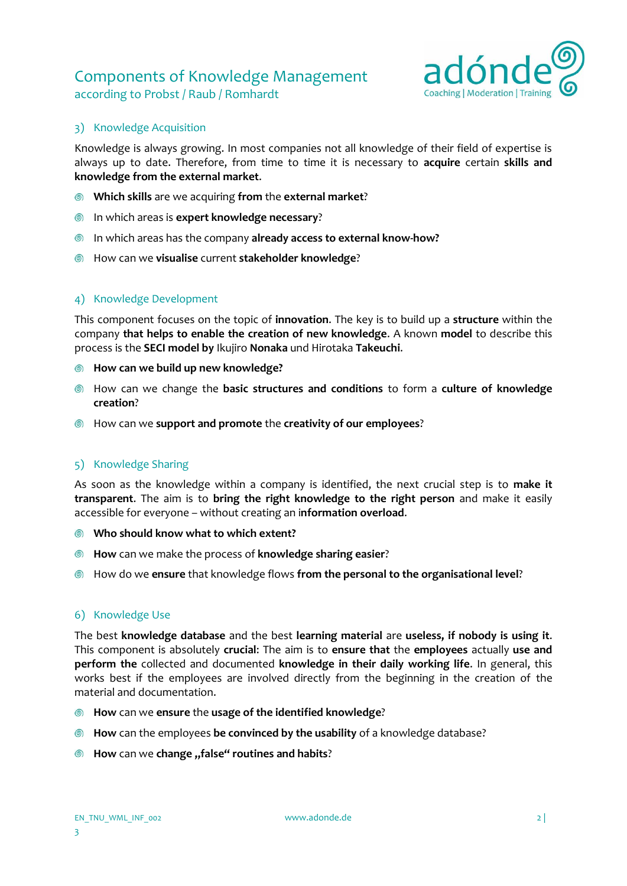# Components of Knowledge Management



### according to Probst / Raub / Romhardt

#### 3) Knowledge Acquisition

Knowledge is always growing. In most companies not all knowledge of their field of expertise is always up to date. Therefore, from time to time it is necessary to **acquire** certain **skills and knowledge from the external market**.

- **Which skills** are we acquiring **from** the **external market**?
- In which areas is **expert knowledge necessary**?
- In which areas has the company **already access to external know-how?**
- How can we **visualise** current **stakeholder knowledge**?

### 4) Knowledge Development

This component focuses on the topic of **innovation**. The key is to build up a **structure** within the company **that helps to enable the creation of new knowledge**. A known **model** to describe this process is the **SECI model by** Ikujiro **Nonaka** und Hirotaka **Takeuchi**.

- **How can we build up new knowledge?**
- How can we change the **basic structures and conditions** to form a **culture of knowledge creation**?
- How can we **support and promote** the **creativity of our employees**?

### 5) Knowledge Sharing

As soon as the knowledge within a company is identified, the next crucial step is to **make it transparent**. The aim is to **bring the right knowledge to the right person** and make it easily accessible for everyone – without creating an i**nformation overload**.

- **Who should know what to which extent?**
- **How** can we make the process of **knowledge sharing easier**?
- How do we **ensure** that knowledge flows **from the personal to the organisational level**?

#### 6) Knowledge Use

The best **knowledge database** and the best **learning material** are **useless, if nobody is using it**. This component is absolutely **crucial**: The aim is to **ensure that** the **employees** actually **use and perform the** collected and documented **knowledge in their daily working life**. In general, this works best if the employees are involved directly from the beginning in the creation of the material and documentation.

- **How** can we **ensure** the **usage of the identified knowledge**?
- **How** can the employees **be convinced by the usability** of a knowledge database?
- $\bullet$  How can we change "false" routines and habits?